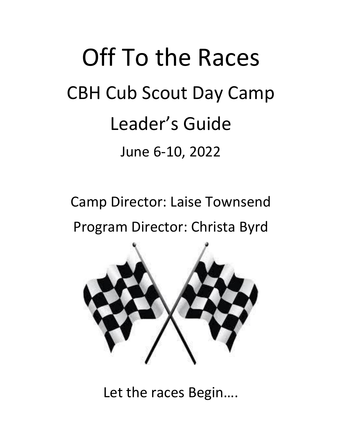# Off To the Races CBH Cub Scout Day Camp Leader's Guide June 6-10, 2022

Camp Director: Laise Townsend Program Director: Christa Byrd



Let the races Begin….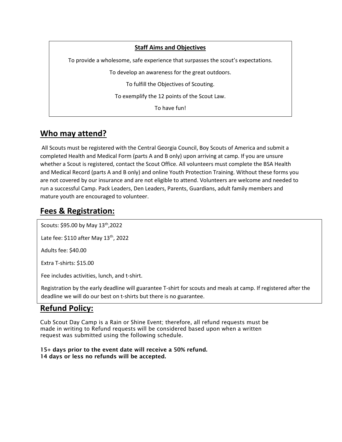#### **Staff Aims and Objectives**

To provide a wholesome, safe experience that surpasses the scout's expectations.

To develop an awareness for the great outdoors.

To fulfill the Objectives of Scouting.

To exemplify the 12 points of the Scout Law.

To have fun!

## **Who may attend?**

All Scouts must be registered with the Central Georgia Council, Boy Scouts of America and submit a completed Health and Medical Form (parts A and B only) upon arriving at camp. If you are unsure whether a Scout is registered, contact the Scout Office. All volunteers must complete the BSA Health and Medical Record (parts A and B only) and online Youth Protection Training. Without these forms you are not covered by our insurance and are not eligible to attend. Volunteers are welcome and needed to run a successful Camp. Pack Leaders, Den Leaders, Parents, Guardians, adult family members and mature youth are encouraged to volunteer.

## **Fees & Registration:**

Scouts: \$95.00 by May 13<sup>th</sup>,2022

Late fee:  $$110$  after May  $13<sup>th</sup>$ , 2022

Adults fee: \$40.00

Extra T-shirts: \$15.00

Fee includes activities, lunch, and t-shirt.

Registration by the early deadline will guarantee T-shirt for scouts and meals at camp. If registered after the deadline we will do our best on t-shirts but there is no guarantee.

## **Refund Policy:**

Cub Scout Day Camp is a Rain or Shine Event; therefore, all refund requests must be made in writing to Refund requests will be considered based upon when a written request was submitted using the following schedule.

15+ days prior to the event date will receive a 50% refund. 14 days or less no refunds will be accepted.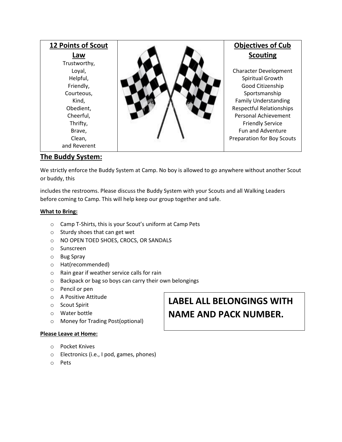| 12 Points of Scout                                                                               | <b>Objectives of Cub</b>                                                                                                                                                        |
|--------------------------------------------------------------------------------------------------|---------------------------------------------------------------------------------------------------------------------------------------------------------------------------------|
| Law                                                                                              | <b>Scouting</b>                                                                                                                                                                 |
| Trustworthy,<br>Loyal,<br>Helpful,<br>Friendly,<br>Courteous,<br>Kind,<br>Obedient,<br>Cheerful, | <b>Character Development</b><br>Spiritual Growth<br>Good Citizenship<br>Sportsmanship<br><b>Family Understanding</b><br><b>Respectful Relationships</b><br>Personal Achievement |
| Thrifty,<br>Brave,<br>Clean,<br>and Reverent                                                     | <b>Friendly Service</b><br><b>Fun and Adventure</b><br>Preparation for Boy Scouts                                                                                               |

## **The Buddy System:**

We strictly enforce the Buddy System at Camp. No boy is allowed to go anywhere without another Scout or buddy, this

includes the restrooms. Please discuss the Buddy System with your Scouts and all Walking Leaders before coming to Camp. This will help keep our group together and safe.

#### **What to Bring:**

- o Camp T-Shirts, this is your Scout's uniform at Camp Pets
- o Sturdy shoes that can get wet
- o NO OPEN TOED SHOES, CROCS, OR SANDALS
- o Sunscreen
- o Bug Spray
- o Hat(recommended)
- o Rain gear if weather service calls for rain
- o Backpack or bag so boys can carry their own belongings
- o Pencil or pen
- o A Positive Attitude
- o Scout Spirit
- o Water bottle
- o Money for Trading Post(optional)

#### **Please Leave at Home:**

- o Pocket Knives
- o Electronics (i.e., I pod, games, phones)
- o Pets

## **LABEL ALL BELONGINGS WITH NAME AND PACK NUMBER.**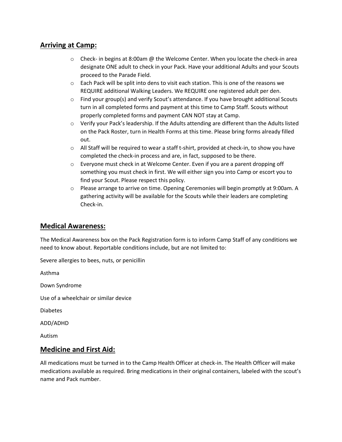## **Arriving at Camp:**

- $\circ$  Check- in begins at 8:00am @ the Welcome Center. When you locate the check-in area designate ONE adult to check in your Pack. Have your additional Adults and your Scouts proceed to the Parade Field.
- o Each Pack will be split into dens to visit each station. This is one of the reasons we REQUIRE additional Walking Leaders. We REQUIRE one registered adult per den.
- $\circ$  Find your group(s) and verify Scout's attendance. If you have brought additional Scouts turn in all completed forms and payment at this time to Camp Staff. Scouts without properly completed forms and payment CAN NOT stay at Camp.
- $\circ$  Verify your Pack's leadership. If the Adults attending are different than the Adults listed on the Pack Roster, turn in Health Forms at this time. Please bring forms already filled out.
- $\circ$  All Staff will be required to wear a staff t-shirt, provided at check-in, to show you have completed the check-in process and are, in fact, supposed to be there.
- $\circ$  Everyone must check in at Welcome Center. Even if you are a parent dropping off something you must check in first. We will either sign you into Camp or escort you to find your Scout. Please respect this policy.
- o Please arrange to arrive on time. Opening Ceremonies will begin promptly at 9:00am. A gathering activity will be available for the Scouts while their leaders are completing Check-in.

### **Medical Awareness:**

The Medical Awareness box on the Pack Registration form is to inform Camp Staff of any conditions we need to know about. Reportable conditions include, but are not limited to:

Severe allergies to bees, nuts, or penicillin

Asthma

Down Syndrome

Use of a wheelchair or similar device

Diabetes

ADD/ADHD

Autism

### **Medicine and First Aid:**

All medications must be turned in to the Camp Health Officer at check-in. The Health Officer will make medications available as required. Bring medications in their original containers, labeled with the scout's name and Pack number.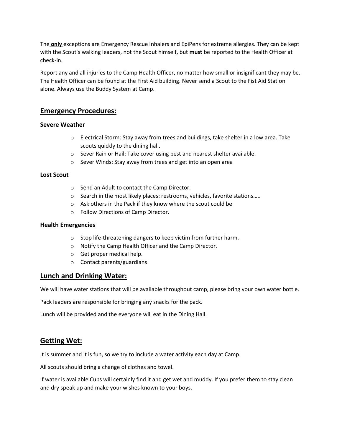The **only** exceptions are Emergency Rescue Inhalers and EpiPens for extreme allergies. They can be kept with the Scout's walking leaders, not the Scout himself, but **must** be reported to the Health Officer at check-in.

Report any and all injuries to the Camp Health Officer, no matter how small or insignificant they may be. The Health Officer can be found at the First Aid building. Never send a Scout to the Fist Aid Station alone. Always use the Buddy System at Camp.

## **Emergency Procedures:**

#### **Severe Weather**

- $\circ$  Electrical Storm: Stay away from trees and buildings, take shelter in a low area. Take scouts quickly to the dining hall.
- o Sever Rain or Hail: Take cover using best and nearest shelter available.
- o Sever Winds: Stay away from trees and get into an open area

#### **Lost Scout**

- o Send an Adult to contact the Camp Director.
- o Search in the most likely places: restrooms, vehicles, favorite stations…..
- o Ask others in the Pack if they know where the scout could be
- o Follow Directions of Camp Director.

#### **Health Emergencies**

- o Stop life-threatening dangers to keep victim from further harm.
- o Notify the Camp Health Officer and the Camp Director.
- o Get proper medical help.
- o Contact parents/guardians

### **Lunch and Drinking Water:**

We will have water stations that will be available throughout camp, please bring your own water bottle.

Pack leaders are responsible for bringing any snacks for the pack.

Lunch will be provided and the everyone will eat in the Dining Hall.

## **Getting Wet:**

It is summer and it is fun, so we try to include a water activity each day at Camp.

All scouts should bring a change of clothes and towel.

If water is available Cubs will certainly find it and get wet and muddy. If you prefer them to stay clean and dry speak up and make your wishes known to your boys.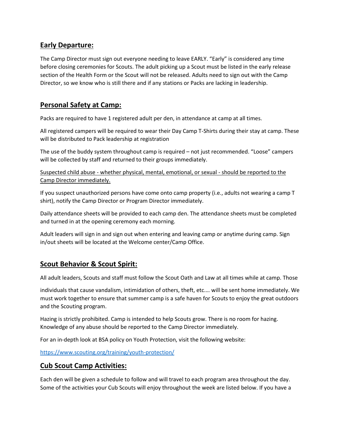## **Early Departure:**

The Camp Director must sign out everyone needing to leave EARLY. "Early" is considered any time before closing ceremonies for Scouts. The adult picking up a Scout must be listed in the early release section of the Health Form or the Scout will not be released. Adults need to sign out with the Camp Director, so we know who is still there and if any stations or Packs are lacking in leadership.

## **Personal Safety at Camp:**

Packs are required to have 1 registered adult per den, in attendance at camp at all times.

All registered campers will be required to wear their Day Camp T-Shirts during their stay at camp. These will be distributed to Pack leadership at registration

The use of the buddy system throughout camp is required – not just recommended. "Loose" campers will be collected by staff and returned to their groups immediately.

Suspected child abuse - whether physical, mental, emotional, or sexual - should be reported to the Camp Director immediately.

If you suspect unauthorized persons have come onto camp property (i.e., adults not wearing a camp T shirt), notify the Camp Director or Program Director immediately.

Daily attendance sheets will be provided to each camp den. The attendance sheets must be completed and turned in at the opening ceremony each morning.

Adult leaders will sign in and sign out when entering and leaving camp or anytime during camp. Sign in/out sheets will be located at the Welcome center/Camp Office.

## **Scout Behavior & Scout Spirit:**

All adult leaders, Scouts and staff must follow the Scout Oath and Law at all times while at camp. Those

individuals that cause vandalism, intimidation of others, theft, etc.… will be sent home immediately. We must work together to ensure that summer camp is a safe haven for Scouts to enjoy the great outdoors and the Scouting program.

Hazing is strictly prohibited. Camp is intended to help Scouts grow. There is no room for hazing. Knowledge of any abuse should be reported to the Camp Director immediately.

For an in-depth look at BSA policy on Youth Protection, visit the following website:

[https://www.scouting.org/training/youth-protection/](about:blank)

### **Cub Scout Camp Activities:**

Each den will be given a schedule to follow and will travel to each program area throughout the day. Some of the activities your Cub Scouts will enjoy throughout the week are listed below. If you have a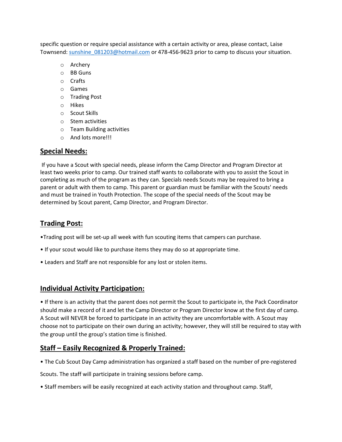specific question or require special assistance with a certain activity or area, please contact, Laise Townsend: sunshine 081203@hotmail.com or 478-456-9623 prior to camp to discuss your situation.

- o Archery
- o BB Guns
- o Crafts
- o Games
- o Trading Post
- o Hikes
- o Scout Skills
- o Stem activities
- o Team Building activities
- o And lots more!!!

### **Special Needs:**

If you have a Scout with special needs, please inform the Camp Director and Program Director at least two weeks prior to camp. Our trained staff wants to collaborate with you to assist the Scout in completing as much of the program as they can. Specials needs Scouts may be required to bring a parent or adult with them to camp. This parent or guardian must be familiar with the Scouts' needs and must be trained in Youth Protection. The scope of the special needs of the Scout may be determined by Scout parent, Camp Director, and Program Director.

## **Trading Post:**

•Trading post will be set-up all week with fun scouting items that campers can purchase.

- If your scout would like to purchase items they may do so at appropriate time.
- Leaders and Staff are not responsible for any lost or stolen items.

### **Individual Activity Participation:**

• If there is an activity that the parent does not permit the Scout to participate in, the Pack Coordinator should make a record of it and let the Camp Director or Program Director know at the first day of camp. A Scout will NEVER be forced to participate in an activity they are uncomfortable with. A Scout may choose not to participate on their own during an activity; however, they will still be required to stay with the group until the group's station time is finished.

## **Staff – Easily Recognized & Properly Trained:**

• The Cub Scout Day Camp administration has organized a staff based on the number of pre-registered

Scouts. The staff will participate in training sessions before camp.

• Staff members will be easily recognized at each activity station and throughout camp. Staff,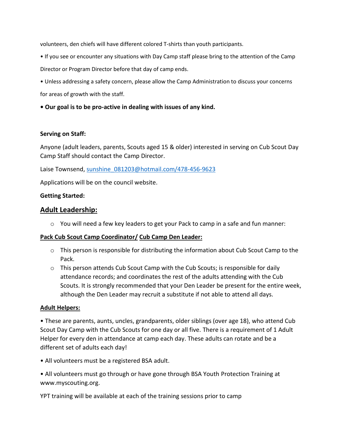volunteers, den chiefs will have different colored T-shirts than youth participants.

- If you see or encounter any situations with Day Camp staff please bring to the attention of the Camp Director or Program Director before that day of camp ends.
- Unless addressing a safety concern, please allow the Camp Administration to discuss your concerns for areas of growth with the staff.
- **Our goal is to be pro-active in dealing with issues of any kind.**

### **Serving on Staff:**

Anyone (adult leaders, parents, Scouts aged 15 & older) interested in serving on Cub Scout Day Camp Staff should contact the Camp Director.

Laise Townsend, [sunshine\\_081203@hotmail.com/478-456-9623](about:blank)

Applications will be on the council website.

## **Getting Started:**

## **Adult Leadership:**

o You will need a few key leaders to get your Pack to camp in a safe and fun manner:

### **Pack Cub Scout Camp Coordinator/ Cub Camp Den Leader:**

- $\circ$  This person is responsible for distributing the information about Cub Scout Camp to the Pack.
- $\circ$  This person attends Cub Scout Camp with the Cub Scouts; is responsible for daily attendance records; and coordinates the rest of the adults attending with the Cub Scouts. It is strongly recommended that your Den Leader be present for the entire week, although the Den Leader may recruit a substitute if not able to attend all days.

### **Adult Helpers:**

• These are parents, aunts, uncles, grandparents, older siblings (over age 18), who attend Cub Scout Day Camp with the Cub Scouts for one day or all five. There is a requirement of 1 Adult Helper for every den in attendance at camp each day. These adults can rotate and be a different set of adults each day!

• All volunteers must be a registered BSA adult.

• All volunteers must go through or have gone through BSA Youth Protection Training at www.myscouting.org.

YPT training will be available at each of the training sessions prior to camp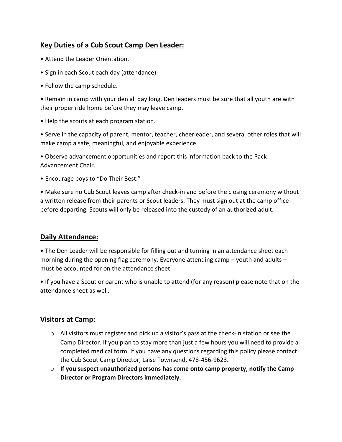## **Key Duties of a Cub Scout Camp Den Leader:**

- Attend the Leader Orientation.
- Sign in each Scout each day (attendance).
- Follow the camp schedule.

• Remain in camp with your den all day long. Den leaders must be sure that all youth are with their proper ride home before they may leave camp.

• Help the scouts at each program station.

• Serve in the capacity of parent, mentor, teacher, cheerleader, and several other roles that will make camp a safe, meaningful, and enjoyable experience.

• Observe advancement opportunities and report this information back to the Pack Advancement Chair.

• Encourage boys to "Do Their Best."

• Make sure no Cub Scout leaves camp after check-in and before the closing ceremony without a written release from their parents or Scout leaders. They must sign out at the camp office before departing. Scouts will only be released into the custody of an authorized adult.

## **Daily Attendance:**

• The Den Leader will be responsible for filling out and turning in an attendance sheet each morning during the opening flag ceremony. Everyone attending camp – youth and adults – must be accounted for on the attendance sheet.

• If you have a Scout or parent who is unable to attend (for any reason) please note that on the attendance sheet as well.

## **Visitors at Camp:**

- $\circ$  All visitors must register and pick up a visitor's pass at the check-in station or see the Camp Director. If you plan to stay more than just a few hours you will need to provide a completed medical form. If you have any questions regarding this policy please contact the Cub Scout Camp Director, Laise Townsend, 478-456-9623.
- o **If you suspect unauthorized persons has come onto camp property, notify the Camp Director or Program Directors immediately.**